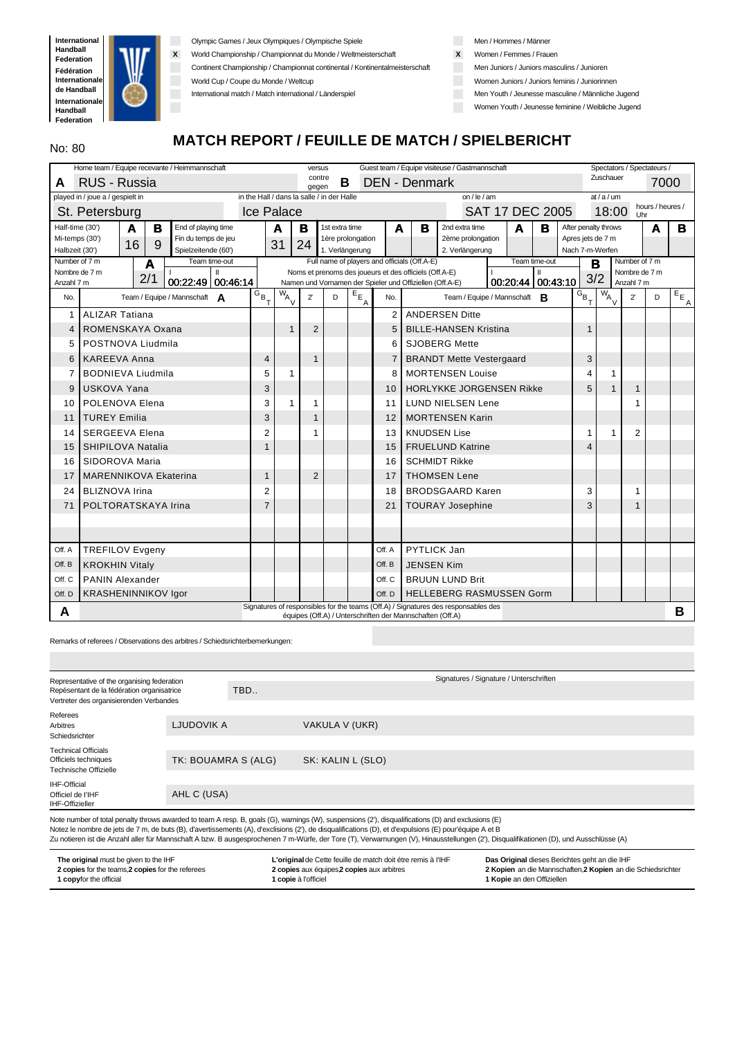

Olympic Games / Jeux Olympiques / Olympische Spiele

**X** World Championship / Championnat du Monde / Weltmeisterschaft

Continent Championship / Championnat continental / Kontinentalmeisterschaft

World Cup / Coupe du Monde / Weltcup

International match / Match international / Länderspiel

Men / Hommes / Männer

**X** Women / Femmes / Frauen

Men Juniors / Juniors masculins / Junioren

Women Juniors / Juniors feminis / Juniorinnen

Men Youth / Jeunesse masculine / Männliche Jugend

Women Youth / Jeunesse feminine / Weibliche Jugend

# **MATCH REPORT / FEUILLE DE MATCH / SPIELBERICHT**

|                                  | Home team / Equipe recevante / Heimmannschaft |                                            |  |                                            |              |                 | versus          |                   |                                                           |   | Guest team / Equipe visiteuse / Gastmannschaft                                     |                        |   |               |                      |                                      |               | Spectators / Spectateurs / |                         |
|----------------------------------|-----------------------------------------------|--------------------------------------------|--|--------------------------------------------|--------------|-----------------|-----------------|-------------------|-----------------------------------------------------------|---|------------------------------------------------------------------------------------|------------------------|---|---------------|----------------------|--------------------------------------|---------------|----------------------------|-------------------------|
| A                                | RUS - Russia                                  |                                            |  |                                            |              | contre<br>gegen | В               |                   | <b>DEN - Denmark</b>                                      |   |                                                                                    |                        |   |               |                      | Zuschauer                            |               | 7000                       |                         |
| played in / joue a / gespielt in |                                               |                                            |  | in the Hall / dans la salle / in der Halle |              |                 |                 |                   |                                                           |   | on / $le$ / am                                                                     |                        |   |               |                      | at/a/um                              |               |                            |                         |
| St. Petersburg                   |                                               |                                            |  | <b>Ice Palace</b>                          |              |                 |                 |                   |                                                           |   |                                                                                    | <b>SAT 17 DEC 2005</b> |   |               |                      | 18:00                                |               | hours / heures /<br>Uhr    |                         |
| Half-time (30')                  | в<br>A                                        | End of playing time                        |  |                                            | A            | в               | 1st extra time  |                   | A                                                         | в | 2nd extra time                                                                     |                        | A | в             |                      | After penalty throws                 |               | A                          | в                       |
| Mi-temps (30')<br>Halbzeit (30') | 16<br>9                                       | Fin du temps de jeu<br>Spielzeitende (60') |  |                                            | 31           | 24              | 1. Verlängerung | 1ère prolongation |                                                           |   | 2ème prolongation<br>2. Verlängerung                                               |                        |   |               |                      | Apres jets de 7 m<br>Nach 7-m-Werfen |               |                            |                         |
| Number of 7 m                    | A                                             | Team time-out                              |  |                                            |              |                 |                 |                   | Full name of players and officials (Off.A-E)              |   |                                                                                    |                        |   | Team time-out | в                    |                                      | Number of 7 m |                            |                         |
| Nombre de 7 m                    | 2/1                                           | ш                                          |  |                                            |              |                 |                 |                   | Noms et prenoms des joueurs et des officiels (Off.A-E)    |   |                                                                                    |                        |   | $\mathbf{H}$  | 3/2                  |                                      | Nombre de 7 m |                            |                         |
| Anzahl 7 m                       |                                               | 00:22:49 00:46:14                          |  |                                            |              |                 |                 |                   | Namen und Vornamen der Spieler und Offiziellen (Off.A-E)  |   |                                                                                    | 00:20:44 00:43:10      |   |               |                      |                                      | Anzahl 7 m    |                            |                         |
| No.                              |                                               | Team / Equipe / Mannschaft $\bigwedge$     |  | $G_{B}$ <sub>T</sub>                       | $W_{A}$      | $2^{\prime}$    | D               | $E_{E}$<br>A      | No.                                                       |   | Team / Equipe / Mannschaft <b>R</b>                                                |                        |   |               | $G_{B}$ <sub>T</sub> | $\overline{w}_{A}$ <sub>V</sub>      | $2^{\prime}$  | D                          | $E_{E_{\underline{A}}}$ |
| 1                                | <b>ALIZAR Tatiana</b>                         |                                            |  |                                            |              |                 |                 |                   | 2 <sup>1</sup>                                            |   | <b>ANDERSEN Ditte</b>                                                              |                        |   |               |                      |                                      |               |                            |                         |
| 4                                | ROMENSKAYA Oxana                              |                                            |  |                                            | $\mathbf{1}$ | $\mathbf 2$     |                 |                   | 5                                                         |   | <b>BILLE-HANSEN Kristina</b>                                                       |                        |   |               | $\mathbf{1}$         |                                      |               |                            |                         |
| 5                                | POSTNOVA Liudmila                             |                                            |  |                                            |              |                 |                 |                   | 6                                                         |   | <b>SJOBERG Mette</b>                                                               |                        |   |               |                      |                                      |               |                            |                         |
| 6                                | <b>KAREEVA Anna</b>                           |                                            |  | 4                                          |              | 1               |                 |                   | 7                                                         |   | <b>BRANDT Mette Vestergaard</b>                                                    |                        |   |               | 3                    |                                      |               |                            |                         |
| 7                                | <b>BODNIEVA Liudmila</b>                      |                                            |  | 5                                          | 1            |                 |                 |                   | 8                                                         |   | <b>MORTENSEN Louise</b>                                                            |                        |   |               | 4                    | 1                                    |               |                            |                         |
| 9                                | <b>USKOVA Yana</b>                            |                                            |  | 3                                          |              |                 |                 |                   | 10                                                        |   | <b>HORLYKKE JORGENSEN Rikke</b>                                                    |                        |   |               | 5                    | $\mathbf{1}$                         | 1             |                            |                         |
| 10                               | POLENOVA Elena                                |                                            |  | 3                                          | 1            |                 |                 |                   | 11                                                        |   | <b>LUND NIELSEN Lene</b>                                                           |                        |   |               |                      |                                      | 1             |                            |                         |
| 11                               | <b>TUREY Emilia</b>                           |                                            |  | 3                                          |              | 1               |                 |                   | 12                                                        |   | <b>MORTENSEN Karin</b>                                                             |                        |   |               |                      |                                      |               |                            |                         |
| 14                               | <b>SERGEEVA Elena</b>                         |                                            |  | $\overline{2}$                             |              | 1               |                 |                   | 13                                                        |   | <b>KNUDSEN Lise</b>                                                                |                        |   |               | 1                    | 1                                    | 2             |                            |                         |
| 15                               | <b>SHIPILOVA Natalia</b>                      |                                            |  | $\mathbf{1}$                               |              |                 |                 |                   | 15                                                        |   | <b>FRUELUND Katrine</b>                                                            |                        |   |               | 4                    |                                      |               |                            |                         |
| 16                               | SIDOROVA Maria                                |                                            |  |                                            |              |                 |                 |                   | 16                                                        |   | <b>SCHMIDT Rikke</b>                                                               |                        |   |               |                      |                                      |               |                            |                         |
| 17                               | <b>MARENNIKOVA Ekaterina</b>                  |                                            |  | 1                                          |              | $\overline{2}$  |                 |                   | 17                                                        |   | <b>THOMSEN Lene</b>                                                                |                        |   |               |                      |                                      |               |                            |                         |
| 24                               | <b>BLIZNOVA Irina</b>                         |                                            |  | $\overline{2}$                             |              |                 |                 |                   | 18                                                        |   | <b>BRODSGAARD Karen</b>                                                            |                        |   |               | 3                    |                                      | 1             |                            |                         |
| 71                               | POLTORATSKAYA Irina                           |                                            |  | $\overline{7}$                             |              |                 |                 |                   | 21                                                        |   | <b>TOURAY Josephine</b>                                                            |                        |   |               | 3                    |                                      | 1             |                            |                         |
|                                  |                                               |                                            |  |                                            |              |                 |                 |                   |                                                           |   |                                                                                    |                        |   |               |                      |                                      |               |                            |                         |
|                                  |                                               |                                            |  |                                            |              |                 |                 |                   |                                                           |   |                                                                                    |                        |   |               |                      |                                      |               |                            |                         |
| Off. A                           | <b>TREFILOV Evgeny</b>                        |                                            |  |                                            |              |                 |                 |                   | Off. A                                                    |   | <b>PYTLICK Jan</b>                                                                 |                        |   |               |                      |                                      |               |                            |                         |
| Off. B                           | <b>KROKHIN Vitaly</b>                         |                                            |  |                                            |              |                 |                 |                   | Off. B                                                    |   | <b>JENSEN Kim</b>                                                                  |                        |   |               |                      |                                      |               |                            |                         |
| Off. C                           | <b>PANIN Alexander</b>                        |                                            |  |                                            |              |                 |                 |                   | Off. C                                                    |   | <b>BRUUN LUND Brit</b>                                                             |                        |   |               |                      |                                      |               |                            |                         |
| Off. D                           | <b>KRASHENINNIKOV Igor</b>                    |                                            |  |                                            |              |                 |                 |                   | Off. D                                                    |   | <b>HELLEBERG RASMUSSEN Gorm</b>                                                    |                        |   |               |                      |                                      |               |                            |                         |
| A                                |                                               |                                            |  |                                            |              |                 |                 |                   | équipes (Off.A) / Unterschriften der Mannschaften (Off.A) |   | Signatures of responsibles for the teams (Off.A) / Signatures des responsables des |                        |   |               |                      |                                      |               |                            | В                       |

Remarks of referees / Observations des arbitres / Schiedsrichterbemerkungen:

| Representative of the organising federation                                           |                     | Signatures / Signature / Unterschriften                                                                                                       |
|---------------------------------------------------------------------------------------|---------------------|-----------------------------------------------------------------------------------------------------------------------------------------------|
| Repésentant de la fédération organisatrice<br>Vertreter des organisierenden Verbandes | TBD                 |                                                                                                                                               |
|                                                                                       |                     |                                                                                                                                               |
| Referees<br>Arbitres<br>Schiedsrichter                                                | LJUDOVIK A          | VAKULA V (UKR)                                                                                                                                |
|                                                                                       |                     |                                                                                                                                               |
| <b>Technical Officials</b><br>Officiels techniques<br>Technische Offizielle           | TK: BOUAMRA S (ALG) | SK: KALIN L (SLO)                                                                                                                             |
|                                                                                       |                     |                                                                                                                                               |
| IHF-Official<br>Officiel de l'IHF<br><b>IHF-Offizieller</b>                           | AHL C (USA)         |                                                                                                                                               |
|                                                                                       |                     | Note a unitary of total popular thronog according to topic A year. D, work (C), womings (A), concernions (O), discussions (D) and systems (E) |

oer of total penalty throws awarded to team A resp. B, goals (G), warnings (W), suspensions (2'), c Notez le nombre de jets de 7 m, de buts (B), d'avertissements (A), d'exclisions (2'), de disqualifications (D), et d'expulsions (E) pour'équipe A et B Zu notieren ist die Anzahl aller für Mannschaft A bzw. B ausgesprochenen 7 m-Würfe, der Tore (T), Verwarnungen (V), Hinausstellungen (2'), Disqualifikationen (D), und Ausschlüsse (A)

| The original must be given to the IHF             | L'original de Cette feuille de match doit étre remis à l'IHF | Das Original dieses Berichtes geht an die IHF                |
|---------------------------------------------------|--------------------------------------------------------------|--------------------------------------------------------------|
| 2 copies for the teams, 2 copies for the referees | 2 copies aux équipes, 2 copies aux arbitres                  | 2 Kopien an die Mannschaften. 2 Kopien an die Schiedsrichter |
| <b>1 copyfor the official</b>                     | copie à l'officiel                                           | <b>1 Kopie</b> an den Offiziellen                            |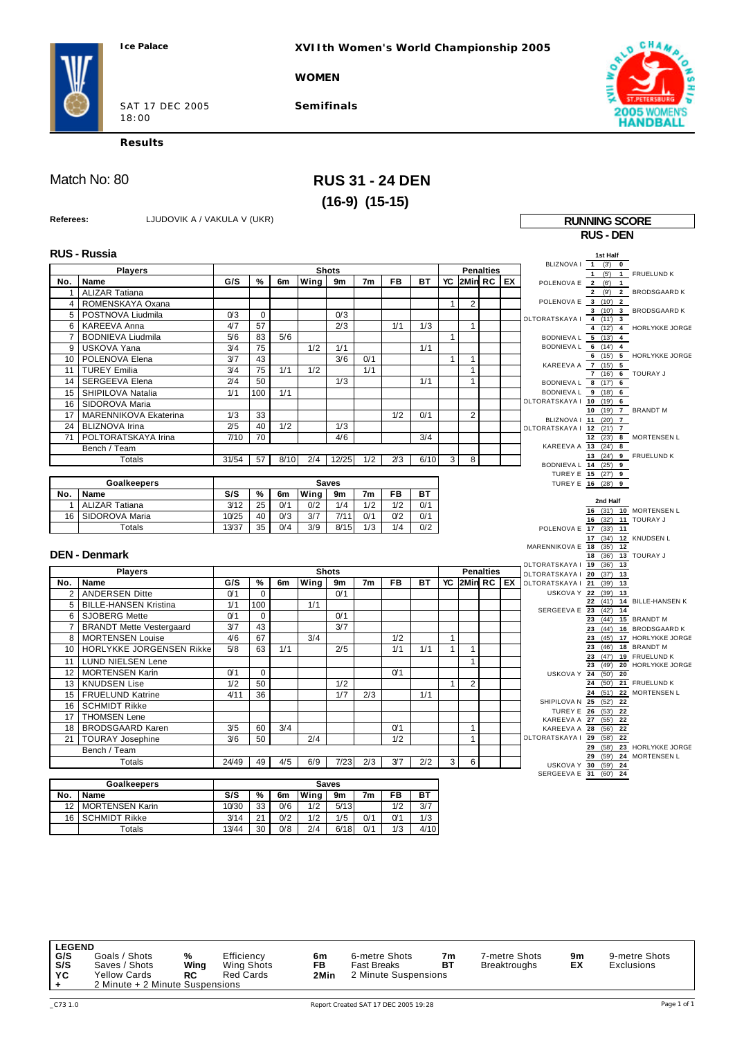**XVIIth Women's World Championship 2005**

**WOMEN**

SAT 17 DEC 2005 18:00

**Semifinals**



**Results**

# Match No: 80 **RUS 31 - 24 DEN (16-9) (15-15)**

**Referees:** LJUDOVIK A / VAKULA V (UKR) **RUNNING SCORE** 

|                 |                                 |                  |                 |      |      |              |                |                |      |              |                |                  |    |                                                    | <b>RUS - DEN</b>                         |                                                       |
|-----------------|---------------------------------|------------------|-----------------|------|------|--------------|----------------|----------------|------|--------------|----------------|------------------|----|----------------------------------------------------|------------------------------------------|-------------------------------------------------------|
|                 | <b>RUS - Russia</b>             |                  |                 |      |      |              |                |                |      |              |                |                  |    |                                                    | 1st Half                                 |                                                       |
|                 | <b>Players</b>                  |                  |                 |      |      | <b>Shots</b> |                |                |      |              |                | <b>Penalties</b> |    | BLIZNOVA I 1 (3') 0                                |                                          |                                                       |
| No.             | Name                            | G/S              | %               | 6m   | Wing | 9m           | 7 <sub>m</sub> | <b>FB</b>      | BT   | YC           | 2Min RC EX     |                  |    | POLENOVA E 2 (6') 1                                |                                          | $1$ (5') $1$ FRUELUND K                               |
| $\mathbf{1}$    | <b>ALIZAR Tatiana</b>           |                  |                 |      |      |              |                |                |      |              |                |                  |    |                                                    |                                          | 2 (9') 2 BRODSGAARD K                                 |
| 4               | ROMENSKAYA Oxana                |                  |                 |      |      |              |                |                |      | $\mathbf{1}$ | $\overline{c}$ |                  |    | POLENOVA E 3 (10') 2                               |                                          |                                                       |
| 5               | POSTNOVA Liudmila               | 0 <sup>3</sup>   | $\Omega$        |      |      | 0/3          |                |                |      |              |                |                  |    |                                                    |                                          | 3 (10') 3 BRODSGAARD K                                |
| 6               | <b>KAREEVA Anna</b>             | 4/7              | 57              |      |      | 2/3          |                | 1/1            | 1/3  |              | $\mathbf{1}$   |                  |    | OLTORATSKAYA   4 (11') 3                           |                                          | 4 (12') 4 HORLYKKE JORGE                              |
| $\overline{7}$  | <b>BODNIEVA Liudmila</b>        | 5/6              | 83              | 5/6  |      |              |                |                |      | $\mathbf{1}$ |                |                  |    | BODNIEVA L 5 (13') 4                               |                                          |                                                       |
| 9               | <b>USKOVA Yana</b>              | 3/4              | 75              |      | 1/2  | 1/1          |                |                | 1/1  |              |                |                  |    | BODNIEVAL 6 (14') 4                                |                                          |                                                       |
| 10              | POLENOVA Elena                  | 3/7              | 43              |      |      | 3/6          | 0/1            |                |      | $\mathbf{1}$ | $\mathbf{1}$   |                  |    |                                                    |                                          | 6 (15') 5 HORLYKKE JORGE                              |
| 11              | <b>TUREY Emilia</b>             | 3/4              | 75              | 1/1  | 1/2  |              | 1/1            |                |      |              | $\mathbf{1}$   |                  |    | KAREEVA A 7 (15) 5                                 |                                          |                                                       |
| 14              | <b>SERGEEVA Elena</b>           | 2/4              | 50              |      |      | 1/3          |                |                | 1/1  |              | $\mathbf{1}$   |                  |    | BODNIEVAL 8 (17') 6                                | 7 (16') 6 TOURAY J                       |                                                       |
| 15              | SHIPILOVA Natalia               | 1/1              | 100             | 1/1  |      |              |                |                |      |              |                |                  |    | BODNIEVAL 9 (18') 6                                |                                          |                                                       |
| 16              | SIDOROVA Maria                  |                  |                 |      |      |              |                |                |      |              |                |                  |    | OLTORATSKAYA   10 (19') 6                          |                                          |                                                       |
| 17              | <b>MARENNIKOVA Ekaterina</b>    | 1/3              | 33              |      |      |              |                | 1/2            | 0/1  |              | $\overline{2}$ |                  |    |                                                    | 10 (19') 7 BRANDT M                      |                                                       |
| 24              | <b>BLIZNOVA Irina</b>           | 2/5              | 40              | 1/2  |      | 1/3          |                |                |      |              |                |                  |    | BLIZNOVA I 11 (20') 7<br>OLTORATSKAYA   12 (21') 7 |                                          |                                                       |
| 71              | POLTORATSKAYA Irina             | 7/10             | $\overline{70}$ |      |      | 4/6          |                |                | 3/4  |              |                |                  |    |                                                    |                                          | 12 (23') 8 MORTENSEN L                                |
|                 | Bench / Team                    |                  |                 |      |      |              |                |                |      |              |                |                  |    | KAREEVA A 13 (24') 8                               |                                          |                                                       |
|                 | <b>Totals</b>                   | 31/54            | 57              | 8/10 | 2/4  | 12/25        | 1/2            | 2/3            | 6/10 | 3            | 8              |                  |    |                                                    |                                          | 13 (24') 9 FRUELUND K                                 |
|                 |                                 |                  |                 |      |      |              |                |                |      |              |                |                  |    | BODNIEVA L 14 (25') 9                              |                                          |                                                       |
|                 | <b>Goalkeepers</b>              |                  |                 |      |      | <b>Saves</b> |                |                |      |              |                |                  |    |                                                    | TUREY E 15 (27') 9<br>TUREY E 16 (28') 9 |                                                       |
| No.             | Name                            | S/S              | %               | 6m   | Wing | 9m           | 7m             | FB             | ВT   |              |                |                  |    |                                                    |                                          |                                                       |
| 1               | <b>ALIZAR Tatiana</b>           | 3/12             | 25              | 0/1  | 0/2  | 1/4          | 1/2            | 1/2            | 0/1  |              |                |                  |    |                                                    | 2nd Half                                 |                                                       |
| 16              | SIDOROVA Maria                  | 10/25            | 40              | 0/3  | 3/7  | 7/11         | 0/1            | 0 <sub>2</sub> | 0/1  |              |                |                  |    |                                                    | 16 (32') 11 TOURAY J                     | 16 (31) 10 MORTENSEN L                                |
|                 | <b>Totals</b>                   | 13/37            | 35              | 0/4  | 3/9  | 8/15         | 1/3            | 1/4            | 0/2  |              |                |                  |    | POLENOVA E 17 (33') 11                             |                                          |                                                       |
|                 |                                 |                  |                 |      |      |              |                |                |      |              |                |                  |    |                                                    | 17 (34') 12 KNUDSEN L                    |                                                       |
|                 |                                 |                  |                 |      |      |              |                |                |      |              |                |                  |    | MARENNIKOVA E 18 (35') 12                          |                                          |                                                       |
|                 | <b>DEN - Denmark</b>            |                  |                 |      |      |              |                |                |      |              |                |                  |    | OLTORATSKAYA   19 (36') 13                         | 18 (36') 13 TOURAY J                     |                                                       |
|                 | <b>Players</b>                  |                  |                 |      |      | <b>Shots</b> |                |                |      |              |                | <b>Penalties</b> |    | OLTORATSKAYA   20 (37)                             | 13                                       |                                                       |
| No.             | Name                            | G/S              | %               | 6m   | Wina | 9m           | 7 <sub>m</sub> | FB             | BT   | YC           | I2MinIRCI      |                  | EX | OLTORATSKAYA   21 (39') 13                         |                                          |                                                       |
| $\overline{2}$  | <b>ANDERSEN Ditte</b>           | O <sub>1</sub>   | $\Omega$        |      |      | 0/1          |                |                |      |              |                |                  |    | USKOVA Y 22 (39')                                  | 13                                       |                                                       |
| 5               | <b>BILLE-HANSEN Kristina</b>    | 1/1              | 100             |      | 1/1  |              |                |                |      |              |                |                  |    | SERGEEVA E 23                                      | (41)<br>22<br>(42)<br>14                 | 14 BILLE-HANSEN K                                     |
| 6               | <b>SJOBERG Mette</b>            | O <sub>1</sub>   | $\mathbf 0$     |      |      | 0/1          |                |                |      |              |                |                  |    |                                                    | 23 (44') 15 BRANDT M                     |                                                       |
| $\overline{7}$  | <b>BRANDT Mette Vestergaard</b> | 3/7              | 43              |      |      | 3/7          |                |                |      |              |                |                  |    |                                                    | 23<br>(44)                               | 16 BRODSGAARD K                                       |
| 8               | <b>MORTENSEN Louise</b>         | 4/6              | 67              |      | 3/4  |              |                | 1/2            |      | 1            |                |                  |    |                                                    | (45)<br>23                               | 17 HORLYKKE JORGE                                     |
| 10              | HORLYKKE JORGENSEN Rikke        | 5/8              | 63              | 1/1  |      | 2/5          |                | 1/1            | 1/1  | $\mathbf{1}$ | 1              |                  |    |                                                    | 23                                       | (46') 18 BRANDT M                                     |
| 11              | LUND NIELSEN Lene               |                  |                 |      |      |              |                |                |      |              | $\mathbf{1}$   |                  |    |                                                    | (47)<br>23<br>23                         | 19 FRUELUND K<br>(49') 20 HORLYKKE JORGE              |
| 12 <sup>2</sup> | <b>MORTENSEN Karin</b>          | 0 <sub>1</sub>   | $\Omega$        |      |      |              |                | O <sub>1</sub> |      |              |                |                  |    |                                                    | USKOVA Y 24 (50') 20                     |                                                       |
| 13              | <b>KNUDSEN Lise</b>             | $\overline{1/2}$ | 50              |      |      | 1/2          |                |                |      | $\mathbf{1}$ | $\overline{c}$ |                  |    |                                                    |                                          | 24 (50') 21 FRUELUND K                                |
| 15              | <b>FRUELUND Katrine</b>         | 4/11             | 36              |      |      | 1/7          | 2/3            |                | 1/1  |              |                |                  |    |                                                    |                                          | 24 (51') 22 MORTENSEN L                               |
| 16              | <b>SCHMIDT Rikke</b>            |                  |                 |      |      |              |                |                |      |              |                |                  |    | SHIPILOVA N 25 (52') 22                            | TUREY E 26 (53') 22                      |                                                       |
| 17              | <b>THOMSEN Lene</b>             |                  |                 |      |      |              |                |                |      |              |                |                  |    | KAREEVA A 27 (55') 22                              |                                          |                                                       |
| 18              | <b>BRODSGAARD Karen</b>         | 3/5              | 60              | 3/4  |      |              |                | O <sub>1</sub> |      |              | $\mathbf{1}$   |                  |    | KAREEVA A 28 (56')                                 | 22                                       |                                                       |
| 21              | <b>TOURAY Josephine</b>         | 3/6              | 50              |      | 2/4  |              |                | 1/2            |      |              | $\mathbf{1}$   |                  |    | OLTORATSKAYA   29 (58')                            | 22                                       |                                                       |
|                 | Bench / Team                    |                  |                 |      |      |              |                |                |      |              |                |                  |    |                                                    |                                          | 29 (58') 23 HORLYKKE JORGE<br>29 (59') 24 MORTENSEN L |
|                 | <b>Totals</b>                   | 24/49            | 49              | 4/5  | 6/9  | 7/23         | 2/3            | 3/7            | 2/2  | 3            | 6              |                  |    |                                                    | USKOVA Y 30 (59') 24                     |                                                       |
|                 |                                 |                  |                 |      |      |              |                |                |      |              |                |                  |    | SERGEEVA E 31 (60') 24                             |                                          |                                                       |
|                 | <b>Goalkeepers</b>              |                  |                 |      |      | Saves        |                |                |      |              |                |                  |    |                                                    |                                          |                                                       |
| No.             | Name                            | S/S              | $\%$            | 6m   | Wing | 9m           | 7 <sub>m</sub> | FB             | ВT   |              |                |                  |    |                                                    |                                          |                                                       |
|                 | 12   MORTENSEN Karin            | 10/30            | 33              | 0/6  | 1/2  | 5/13         |                | 1/2            | 3/7  |              |                |                  |    |                                                    |                                          |                                                       |

| <b>LEGEND</b><br>G/S<br>S/S | Goals / Shots<br>Saves / Shots  | %<br>Wing | Efficiency<br>Wing Shots | 6m<br>FB | 6-metre Shots<br><b>Fast Breaks</b> | 7m<br>BТ | 7-metre Shots<br><b>Breaktroughs</b> | 9m<br>EX | 9-metre Shots<br>Exclusions |
|-----------------------------|---------------------------------|-----------|--------------------------|----------|-------------------------------------|----------|--------------------------------------|----------|-----------------------------|
| YC                          | <b>Yellow Cards</b>             | <b>RC</b> | <b>Red Cards</b>         | 2Min     | 2 Minute Suspensions                |          |                                      |          |                             |
|                             | 2 Minute + 2 Minute Suspensions |           |                          |          |                                     |          |                                      |          |                             |

12 MORTENSEN Karin 10/30 33 0/6 1/2 5/13 1/2 3/7<br>16 SCHMIDT Rikke 3/14 21 0/2 1/2 1/5 0/1 0/1 1/3

Totals 13/44 30 0/8 2/4 6/18 0/1 1/3 4/10

16 SCHMIDT Rikke 3/14 21 0/2 1/2 1/5 0/1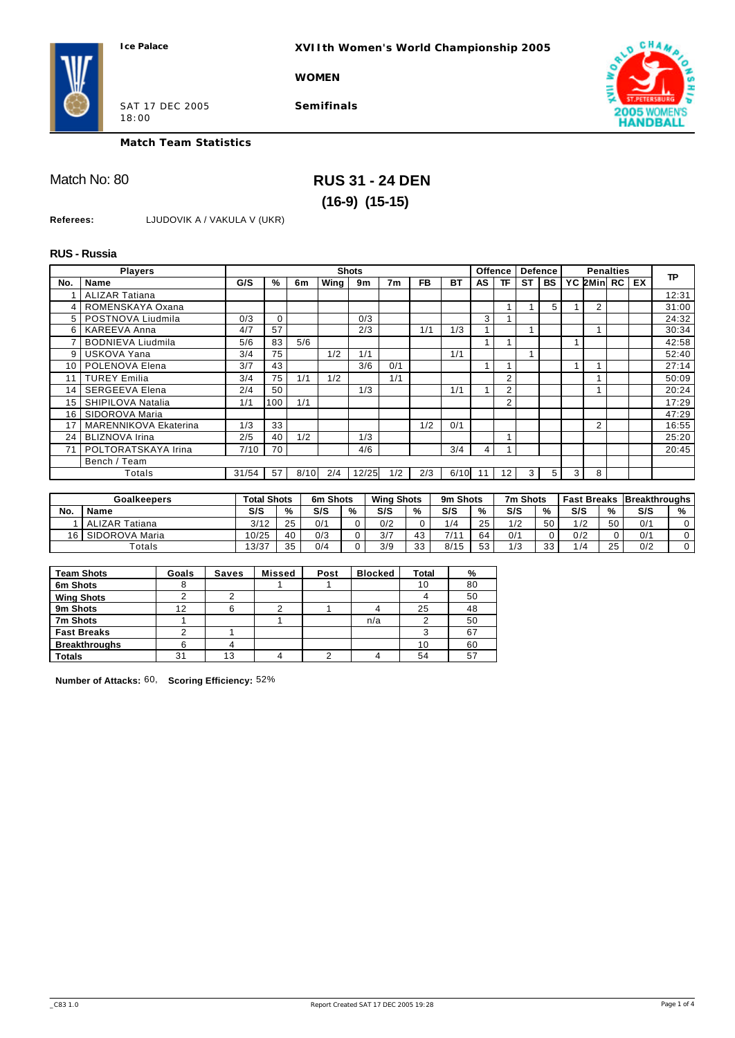**XVIIth Women's World Championship 2005**

**WOMEN**



SAT 17 DEC 2005 18:00

**Semifinals**



**Match Team Statistics**

# Match No: 80 **RUS 31 - 24 DEN (16-9) (15-15)**

**Referees:** LJUDOVIK A / VAKULA V (UKR)

## **RUS - Russia**

|                | <b>Players</b>               |       |          |      |      | <b>Shots</b> |                |           |           |    | <b>Offence</b> | <b>Defence</b> |           |                |                | <b>Penalties</b> |    |           |
|----------------|------------------------------|-------|----------|------|------|--------------|----------------|-----------|-----------|----|----------------|----------------|-----------|----------------|----------------|------------------|----|-----------|
| No.            | <b>Name</b>                  | G/S   | %        | 6m   | Wing | 9m           | 7 <sub>m</sub> | <b>FB</b> | <b>BT</b> | AS | ΤF             | <b>ST</b>      | <b>BS</b> |                | YC 2Minl RC    |                  | EX | <b>TP</b> |
|                | <b>ALIZAR Tatiana</b>        |       |          |      |      |              |                |           |           |    |                |                |           |                |                |                  |    | 12:31     |
| $\overline{4}$ | ROMENSKAYA Oxana             |       |          |      |      |              |                |           |           |    |                |                | 5         |                | 2              |                  |    | 31:00     |
|                | 5   POSTNOVA Liudmila        | 0/3   | $\Omega$ |      |      | 0/3          |                |           |           | 3  |                |                |           |                |                |                  |    | 24:32     |
| 6              | <b>KAREEVA Anna</b>          | 4/7   | 57       |      |      | 2/3          |                | 1/1       | 1/3       |    |                |                |           |                |                |                  |    | 30:34     |
|                | <b>BODNIEVA Liudmila</b>     | 5/6   | 83       | 5/6  |      |              |                |           |           |    |                |                |           |                |                |                  |    | 42:58     |
| 9              | USKOVA Yana                  | 3/4   | 75       |      | 1/2  | 1/1          |                |           | 1/1       |    |                |                |           |                |                |                  |    | 52:40     |
| 10             | POLENOVA Elena               | 3/7   | 43       |      |      | 3/6          | 0/1            |           |           |    |                |                |           |                |                |                  |    | 27:14     |
| 11             | <b>TUREY Emilia</b>          | 3/4   | 75       | 1/1  | 1/2  |              | 1/1            |           |           |    | 2              |                |           |                |                |                  |    | 50:09     |
| 14             | <b>SERGEEVA Elena</b>        | 2/4   | 50       |      |      | 1/3          |                |           | 1/1       |    | 2              |                |           |                |                |                  |    | 20:24     |
| 15             | SHIPILOVA Natalia            | 1/1   | 100      | 1/1  |      |              |                |           |           |    | 2              |                |           |                |                |                  |    | 17:29     |
| 16             | SIDOROVA Maria               |       |          |      |      |              |                |           |           |    |                |                |           |                |                |                  |    | 47:29     |
| 17             | <b>MARENNIKOVA Ekaterina</b> | 1/3   | 33       |      |      |              |                | 1/2       | 0/1       |    |                |                |           |                | $\overline{2}$ |                  |    | 16:55     |
| 24             | <b>BLIZNOVA Irina</b>        | 2/5   | 40       | 1/2  |      | 1/3          |                |           |           |    |                |                |           |                |                |                  |    | 25:20     |
| 71             | POLTORATSKAYA Irina          | 7/10  | 70       |      |      | 4/6          |                |           | 3/4       | 4  |                |                |           |                |                |                  |    | 20:45     |
|                | Bench / Team                 |       |          |      |      |              |                |           |           |    |                |                |           |                |                |                  |    |           |
|                | Totals                       | 31/54 | 57       | 8/10 | 2/4  | 12/25        | 1/2            | 2/3       | 6/10      |    | 12             |                | 5         | 3 <sup>1</sup> | 8              |                  |    |           |

|     | <b>Goalkeepers</b>    |       | Total Shots | 6m Shots |    | <b>Wing Shots</b> |    | 9m Shots |    | 7m Shots |    | <b>Fast Breaks</b> |    | <b>Breakthroughs</b> |   |
|-----|-----------------------|-------|-------------|----------|----|-------------------|----|----------|----|----------|----|--------------------|----|----------------------|---|
| No. | Name                  | S/S   | %           | S/S      | 0/ | S/S               | %  | S/S      | %  | S/S      | %  | S/S                | %  | S/S                  | % |
|     | <b>ALIZAR Tatiana</b> | 3/12  | った          | 0/1      |    | 0/2               |    | 1/4      | 25 | 1/2      | 50 | /2                 | 50 | 0/1                  |   |
| 16  | SIDOROVA Maria        | 10/25 | 40          | 0/3      |    | 3/7               | 43 | 7/11     | 64 | 0/1      |    | 0/2                |    | 0/1                  |   |
|     | Гotals                | 13/37 | 25          | 0/4      |    | 3/9               | 33 | 8/15     | 53 | 1/3      | 33 | $\sqrt{4}$         | 25 | 0/2                  |   |

| <b>Team Shots</b>    | Goals | Saves | <b>Missed</b> | Post | <b>Blocked</b> | <b>Total</b> | %  |
|----------------------|-------|-------|---------------|------|----------------|--------------|----|
| 6m Shots             | ŏ     |       |               |      |                | 10           | 80 |
| <b>Wing Shots</b>    |       |       |               |      |                |              | 50 |
| 9m Shots             | 12    | 6     | ົ             |      |                | 25           | 48 |
| 7m Shots             |       |       |               |      | n/a            |              | 50 |
| <b>Fast Breaks</b>   |       |       |               |      |                |              | 67 |
| <b>Breakthroughs</b> | 6     |       |               |      |                | 10           | 60 |
| <b>Totals</b>        | 31    | 13    |               |      |                | 54           | 57 |

**Number of Attacks:** 60, **Scoring Efficiency:** 52%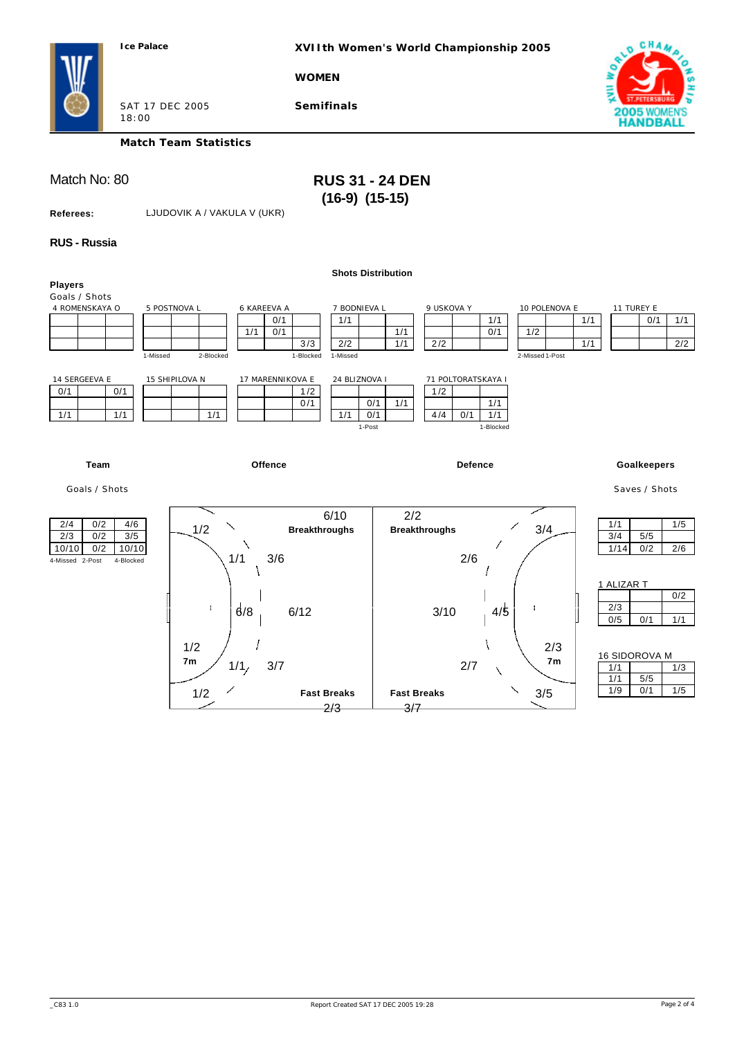**XVIIth Women's World Championship 2005**

**WOMEN**



SAT 17 DEC 2005 18:00

**Match Team Statistics**

**Semifinals**

# Match No: 80 **RUS 31 - 24 DEN (16-9) (15-15)**

**Referees:** LJUDOVIK A / VAKULA V (UKR)

## **RUS - Russia**

|                                                                                                   |                                       |                                                      | <b>Shots Distribution</b>                    |                                 |                                                      |                                         |                          |                             |            |
|---------------------------------------------------------------------------------------------------|---------------------------------------|------------------------------------------------------|----------------------------------------------|---------------------------------|------------------------------------------------------|-----------------------------------------|--------------------------|-----------------------------|------------|
| <b>Players</b><br>Goals / Shots<br>4 ROMENSKAYA O                                                 | 5 POSTNOVA L<br>2-Blocked<br>1-Missed | 6 KAREEVA A<br>0/1<br>0/1<br>1/1<br>3/3<br>1-Blocked | 7 BODNIEVA L<br>1/1<br>2/2<br>1-Missed       | 9 USKOVA Y<br>1/1<br>1/1<br>2/2 | 1/1<br>0/1                                           | 10 POLENOVA E<br>1/2<br>2-Missed 1-Post | 1/1<br>1/1               | 11 TUREY E<br>0/1           | 1/1<br>2/2 |
| 14 SERGEEVA E<br>0/1<br>0/1<br>1/1<br>1/1                                                         | 15 SHIPILOVA N<br>1/1                 | 17 MARENNIKOVA E<br>1/2<br>0/1                       | 24 BLIZNOVA I<br>0/1<br>1/1<br>0/1<br>1-Post | 1/2<br>1/1<br>4/4               | 71 POLTORATSKAYA I<br>1/1<br>0/1<br>1/1<br>1-Blocked |                                         |                          |                             |            |
| <b>Team</b>                                                                                       |                                       | Offence                                              |                                              |                                 | Defence                                              |                                         |                          | <b>Goalkeepers</b>          |            |
| Goals / Shots                                                                                     |                                       |                                                      |                                              |                                 |                                                      |                                         |                          | Saves / Shots               |            |
| 2/4<br>0/2<br>4/6<br>$3/5$<br>2/3<br>0/2<br>10/10<br>0/2<br>10/10<br>4-Missed 2-Post<br>4-Blocked | 1/2<br>1/1                            | <b>Breakthroughs</b><br>3/6                          | 6/10                                         | 2/2<br><b>Breakthroughs</b>     | 2/6                                                  | 3/4                                     | 1/1<br>3/4<br>1/14       | 5/5<br>0/2                  | 1/5<br>2/6 |
|                                                                                                   | ÷                                     | 6/8<br>6/12                                          |                                              | 3/10                            | 4/5                                                  |                                         | 1 ALIZAR T<br>2/3<br>0/5 | 0/1                         | 0/2<br>1/1 |
|                                                                                                   | 1/2<br>7 <sub>m</sub><br>1/2          | 3/7<br>1/1/                                          | <b>Fast Breaks</b>                           | <b>Fast Breaks</b>              | 2/7                                                  | 2/3<br>7 <sub>m</sub><br>3/5            | 1/1<br>1/1<br>1/9        | 16 SIDOROVA M<br>5/5<br>0/1 | 1/3<br>1/5 |
|                                                                                                   |                                       |                                                      | 2/3                                          | 3/7                             |                                                      |                                         |                          |                             |            |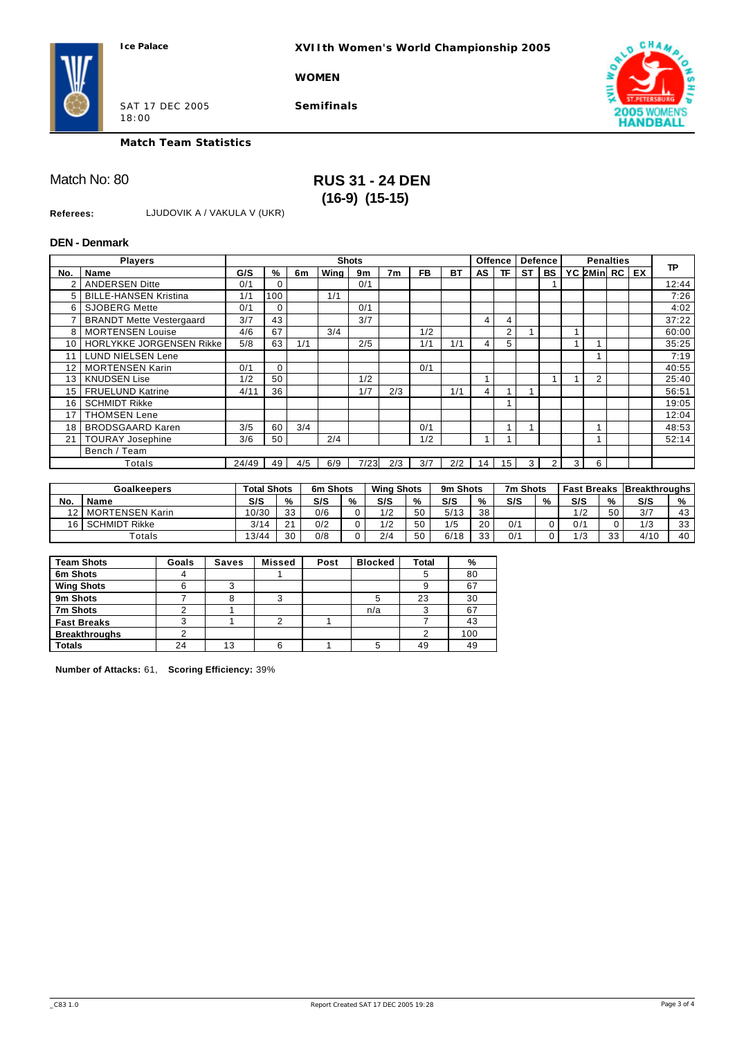**XVIIth Women's World Championship 2005**

**WOMEN**



SAT 17 DEC 2005 18:00

**Semifinals**



**Match Team Statistics**

## Match No: 80 **RUS 31 - 24 DEN (16-9) (15-15)**

**Referees:** LJUDOVIK A / VAKULA V (UKR)

### **DEN - Denmark**

|     | <b>Players</b>                  |       |               |     |      | <b>Shots</b> |                |           |     |      | <b>Offence</b> |           | <b>Defence</b> |   | <b>Penalties</b> |           |           |
|-----|---------------------------------|-------|---------------|-----|------|--------------|----------------|-----------|-----|------|----------------|-----------|----------------|---|------------------|-----------|-----------|
| No. | <b>Name</b>                     | G/S   | $\frac{9}{6}$ | 6m  | Wina | 9m           | 7 <sub>m</sub> | <b>FB</b> | ВT  | AS I | ΤF             | <b>ST</b> | <b>BS</b>      |   | YC 2Minl RC I    | <b>EX</b> | <b>TP</b> |
|     | <b>ANDERSEN Ditte</b>           | 0/1   | 0             |     |      | 0/1          |                |           |     |      |                |           |                |   |                  |           | 12:44     |
| 5.  | <b>BILLE-HANSEN Kristina</b>    | 1/1   | 100           |     | 1/1  |              |                |           |     |      |                |           |                |   |                  |           | 7:26      |
| 6   | <b>SJOBERG Mette</b>            | 0/1   | 0             |     |      | 0/1          |                |           |     |      |                |           |                |   |                  |           | 4:02      |
|     | <b>BRANDT Mette Vestergaard</b> | 3/7   | 43            |     |      | 3/7          |                |           |     | 4    | 4              |           |                |   |                  |           | 37:22     |
| 8   | <b>MORTENSEN Louise</b>         | 4/6   | 67            |     | 3/4  |              |                | 1/2       |     |      | 2              |           |                |   |                  |           | 60:00     |
| 10  | HORLYKKE JORGENSEN Rikke        | 5/8   | 63            | 1/1 |      | 2/5          |                | 1/1       | 1/1 | 4    | 5              |           |                |   |                  |           | 35:25     |
| 11  | <b>LUND NIELSEN Lene</b>        |       |               |     |      |              |                |           |     |      |                |           |                |   |                  |           | 7:19      |
| 12  | <b>MORTENSEN Karin</b>          | 0/1   | $\Omega$      |     |      |              |                | 0/1       |     |      |                |           |                |   |                  |           | 40:55     |
| 13  | <b>KNUDSEN Lise</b>             | 1/2   | 50            |     |      | 1/2          |                |           |     |      |                |           |                |   | $\overline{2}$   |           | 25:40     |
| 15  | <b>FRUELUND Katrine</b>         | 4/11  | 36            |     |      | 1/7          | 2/3            |           | 1/1 | 4    |                |           |                |   |                  |           | 56:51     |
| 16  | <b>SCHMIDT Rikke</b>            |       |               |     |      |              |                |           |     |      |                |           |                |   |                  |           | 19:05     |
| 17  | <b>THOMSEN Lene</b>             |       |               |     |      |              |                |           |     |      |                |           |                |   |                  |           | 12:04     |
| 18  | <b>BRODSGAARD Karen</b>         | 3/5   | 60            | 3/4 |      |              |                | 0/1       |     |      |                |           |                |   |                  |           | 48:53     |
| 21  | <b>TOURAY Josephine</b>         | 3/6   | 50            |     | 2/4  |              |                | 1/2       |     |      |                |           |                |   |                  |           | 52:14     |
|     | Bench / Team                    |       |               |     |      |              |                |           |     |      |                |           |                |   |                  |           |           |
|     | Totals                          | 24/49 | 49            | 4/5 | 6/9  | 7/23l        | 2/3            | 3/7       | 2/2 | 14 I | 15             | 3         | $\overline{2}$ | 3 | 6                |           |           |

|     | <b>Goalkeepers</b>                   | <b>Total Shots</b> |             | 6m Shots |   | <b>Wing Shots</b> |    | 9m Shots |    | 7m Shots |   |     |          | <b>Fast Breaks   Breakthroughs</b> |          |
|-----|--------------------------------------|--------------------|-------------|----------|---|-------------------|----|----------|----|----------|---|-----|----------|------------------------------------|----------|
| No. | <b>Name</b>                          | S/S                | %           | S/S      | % | S/S               | %  | S/S      | %  | S/S      | % | S/S | %        | S/S                                | %        |
| 12  | <b>MORTENSEN Karin</b>               | 10/30              | 33          | 0/6      |   | 1/2               | 50 | 5/13     | 38 |          |   | /2  | 50       | 3/7                                | 43       |
| 16. | <b>SCHMIDT</b><br><sup>-</sup> Rikke | 3/14               | $\sim$<br>∠ | 0/2      |   | 1/2               | 50 | 1/5      | 20 | 0/1      |   | 0/1 |          | 1/3                                | つつ<br>ںں |
|     | $\tau$ otals                         | 13/44              | 30          | 0/8      |   | 2/4               | 50 | 6/18     | 33 | 0/1      |   | 70  | 22<br>ບບ | 4/10                               | 40       |

| <b>Team Shots</b>    | Goals | <b>Saves</b> | <b>Missed</b> | Post | <b>Blocked</b> | <b>Total</b> | %   |
|----------------------|-------|--------------|---------------|------|----------------|--------------|-----|
| 6m Shots             | 4     |              |               |      |                |              | 80  |
| <b>Wing Shots</b>    | 6     | 3            |               |      |                |              | 67  |
| 9m Shots             |       |              | 3             |      |                | 23           | 30  |
| 7m Shots             |       |              |               |      | n/a            |              | 67  |
| <b>Fast Breaks</b>   |       |              | ົ             |      |                |              | 43  |
| <b>Breakthroughs</b> |       |              |               |      |                |              | 100 |
| <b>Totals</b>        | 24    | 13           | 6             |      |                | 49           | 49  |

**Number of Attacks:** 61, **Scoring Efficiency:** 39%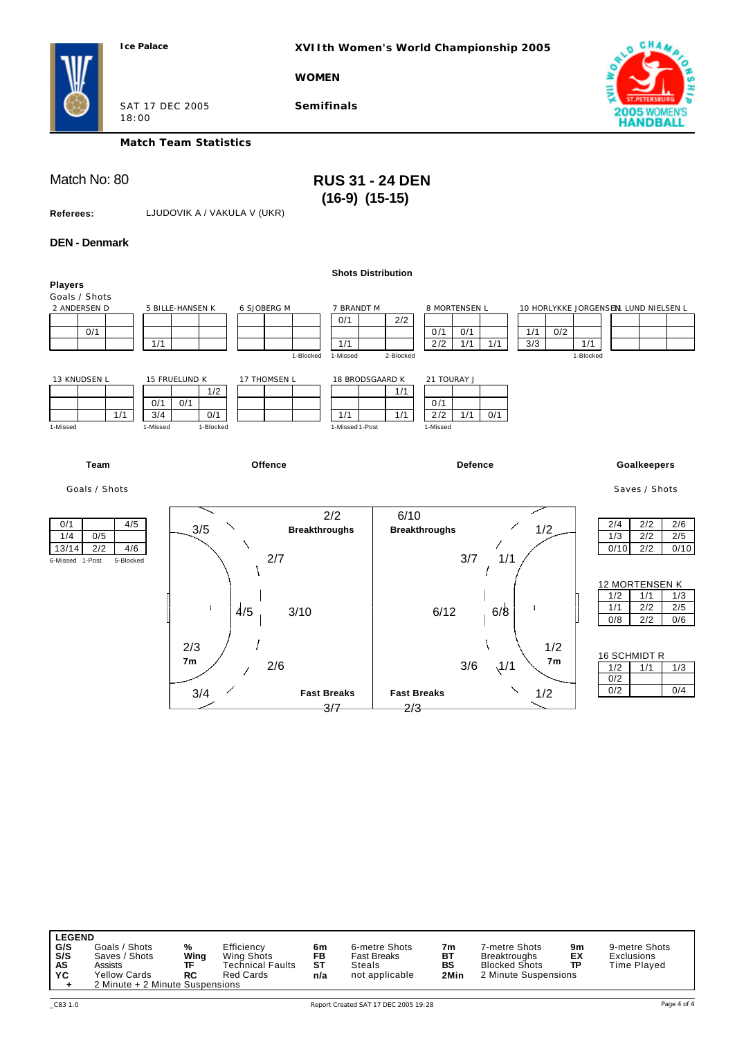**XVIIth Women's World Championship 2005**

**WOMEN**



SAT 17 DEC 2005 18:00

**Match Team Statistics**

**Semifinals**

# Match No: 80 **RUS 31 - 24 DEN (16-9) (15-15)**

**Referees:** LJUDOVIK A / VAKULA V (UKR)

### **DEN - Denmark**

|                                                                                 |                                                                                           | <b>Shots Distribution</b>                                        |                                                                       |                                                                               |
|---------------------------------------------------------------------------------|-------------------------------------------------------------------------------------------|------------------------------------------------------------------|-----------------------------------------------------------------------|-------------------------------------------------------------------------------|
| <b>Players</b><br>Goals / Shots<br>2 ANDERSEN D<br>0/1                          | 6 SJOBERG M<br>5 BILLE-HANSEN K<br>1/1<br>1-Blocked                                       | 7 BRANDT M<br>2/2<br>0/1<br>1/1<br>1-Missed<br>2-Blocked         | 8 MORTENSEN L<br>0/1<br>0/2<br>0/1<br>1/1<br>1/1<br>3/3<br>2/2<br>1/1 | 10 HORLYKKE JORGENSENI LUND NIELSEN L<br>1/1<br>1-Blocked                     |
| 13 KNUDSEN L<br>1/1<br>1-Missed                                                 | 15 FRUELUND K<br>17 THOMSEN L<br>1/2<br>0/1<br>0/1<br>0/1<br>3/4<br>1-Missed<br>1-Blocked | 18 BRODSGAARD K<br>1/1<br>1/1<br>1/1<br>1-Missed 1-Post          | 21 TOURAY J<br>0/1<br>2/2<br>1/1<br>0/1<br>1-Missed                   |                                                                               |
| Team                                                                            | Offence                                                                                   |                                                                  | <b>Defence</b>                                                        | <b>Goalkeepers</b>                                                            |
| Goals / Shots                                                                   |                                                                                           |                                                                  |                                                                       | Saves / Shots                                                                 |
| 0/1<br>4/5<br>0/5<br>1/4<br>13/14<br>2/2<br>4/6<br>6-Missed 1-Post<br>5-Blocked | 3/5<br><b>Breakthroughs</b><br>2/7                                                        | 6/10<br>2/2<br><b>Breakthroughs</b>                              | 1/2<br>3/7<br>1/1                                                     | 2/4<br>2/2<br>2/6<br>1/3<br>2/2<br>2/5<br>0/10<br>2/2<br>0/10                 |
|                                                                                 | ÷<br>$\frac{1}{5}$<br>3/10                                                                |                                                                  | 6/12<br>6/8                                                           | 12 MORTENSEN K<br>1/2<br>1/1<br>1/3<br>1/1<br>2/2<br>2/5<br>0/8<br>2/2<br>0/6 |
|                                                                                 | 2/3<br>7 <sub>m</sub><br>2/6                                                              |                                                                  | 1/2<br>7 <sub>m</sub><br>$\sqrt{1/1}$<br>3/6                          | 16 SCHMIDT R<br>1/2<br>1/1<br>1/3<br>0/2                                      |
|                                                                                 | 3/4                                                                                       | <b>Fast Breaks</b><br><b>Fast Breaks</b><br>$\frac{3}{7}$<br>2/3 | 1/2                                                                   | 0/2<br>0/4                                                                    |

| <b>LEGEND</b> |                                 |      |                  |     |                |      |                      |    |               |
|---------------|---------------------------------|------|------------------|-----|----------------|------|----------------------|----|---------------|
| G/S           | Goals / Shots                   | %    | Efficiency       | 6m  | 6-metre Shots  | 7m   | 7-metre Shots        | 9m | 9-metre Shots |
| S/S           | Saves / Shots                   | Wing | Wing Shots       | FB  | Fast Breaks    | BT   | <b>Breaktroughs</b>  | ЕX | Exclusions    |
| AS            | Assists                         | ΤF   | Technical Faults | SТ  | Steals         | BS   | <b>Blocked Shots</b> | TP | Time Played   |
| YC            | <b>Yellow Cards</b>             | RC   | <b>Red Cards</b> | n/a | not applicable | 2Min | 2 Minute Suspensions |    |               |
|               | 2 Minute + 2 Minute Suspensions |      |                  |     |                |      |                      |    |               |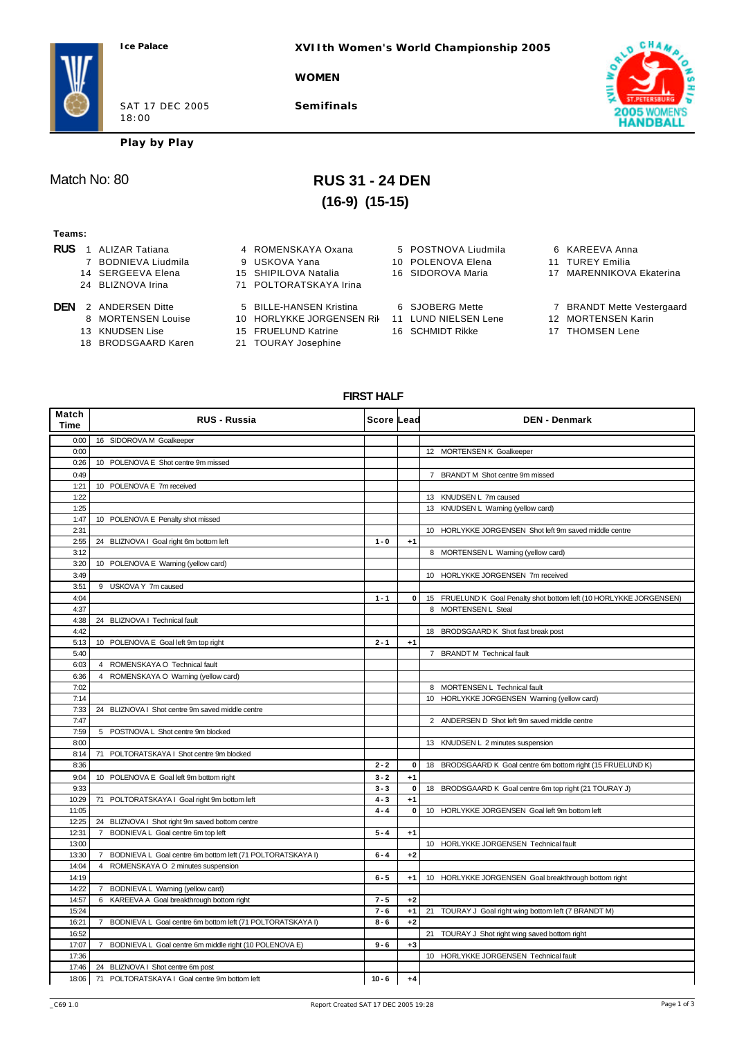**XVIIth Women's World Championship 2005**

**WOMEN**

SAT 17 DEC 2005 18:00

**Semifinals**



**Play by Play**

# Match No: 80 **RUS 31 - 24 DEN (16-9) (15-15)**

#### **Teams:**

- **RUS** 1 ALIZAR Tatiana **4 ROMENSKAYA Oxana** 5 POSTNOVA Liudmila 6 KAREEVA Anna<br>7 BODNIEVA Liudmila 9 USKOVA Yana 10 POLENOVA Elena 11 TUREY Emilia 7 BODNIEVA Liudmila 9 USKOVA Yana 10 POLENOVA Elena 14 SERGEEVA Elena 15 SHIPILOVA Natalia 16 SIDOROVA Maria 17 MARENNIKOVA Ekaterina 24 BLIZNOVA Irina 71 POLTORATSKAYA Irina **DEN** 2 ANDERSEN Ditte 5 BILLE-HANSEN Kristina 6 SJOBERG Mette 7 BRANDT Mette Vestergaard<br>8 MORTENSEN Louise 10 HORLYKKE JORGENSEN Ril 11 LUND NIELSEN Lene 12 MORTENSEN Karin 10 HORLYKKE JORGENSEN Rik 11 LUND NIELSEN Lene 13 KNUDSEN Lise 15 FRUELUND Katrine 16 SCHMIDT Rikke 17 THOMSEN Lene<br>18 BRODSGAARD Karen 21 TOURAY Josephine
	-
	-
- 21 TOURAY Josephine
- 
- 

### **FIRST HALF**

| Match<br><b>Time</b> | <b>RUS - Russia</b>                                                      | <b>Score Lead</b> |             | <b>DEN - Denmark</b>                                                |
|----------------------|--------------------------------------------------------------------------|-------------------|-------------|---------------------------------------------------------------------|
| 0:00                 | 16 SIDOROVA M Goalkeeper                                                 |                   |             |                                                                     |
| 0:00                 |                                                                          |                   |             | 12 MORTENSEN K Goalkeeper                                           |
| 0:26                 | 10 POLENOVA E Shot centre 9m missed                                      |                   |             |                                                                     |
| 0:49                 |                                                                          |                   |             | 7 BRANDT M Shot centre 9m missed                                    |
| 1:21                 | 10 POLENOVA E 7m received                                                |                   |             |                                                                     |
| 1:22                 |                                                                          |                   |             | 13 KNUDSEN L 7m caused                                              |
| 1:25                 |                                                                          |                   |             | 13 KNUDSEN L Warning (yellow card)                                  |
| 1:47                 | 10 POLENOVA E Penalty shot missed                                        |                   |             |                                                                     |
| 2:31                 |                                                                          |                   |             | 10 HORLYKKE JORGENSEN Shot left 9m saved middle centre              |
| 2:55                 | 24 BLIZNOVA I Goal right 6m bottom left                                  | $1 - 0$           | $+1$        |                                                                     |
| 3:12                 |                                                                          |                   |             | 8 MORTENSEN L Warning (yellow card)                                 |
| 3:20                 | 10 POLENOVA E Warning (yellow card)                                      |                   |             |                                                                     |
| 3:49                 |                                                                          |                   |             | 10 HORLYKKE JORGENSEN 7m received                                   |
| 3:51                 | 9 USKOVA Y 7m caused                                                     |                   |             |                                                                     |
| 4:04                 |                                                                          | $1 - 1$           | 0           | 15 FRUELUND K Goal Penalty shot bottom left (10 HORLYKKE JORGENSEN) |
| 4:37                 |                                                                          |                   |             | 8 MORTENSEN L Steal                                                 |
| 4:38                 | 24 BLIZNOVA I Technical fault                                            |                   |             |                                                                     |
| 4:42                 |                                                                          |                   |             | 18 BRODSGAARD K Shot fast break post                                |
| 5:13                 | 10 POLENOVA E Goal left 9m top right                                     | $2 - 1$           | $+1$        |                                                                     |
| 5:40                 |                                                                          |                   |             | 7 BRANDT M Technical fault                                          |
| 6:03                 | 4 ROMENSKAYA O Technical fault                                           |                   |             |                                                                     |
| 6:36                 | 4 ROMENSKAYA O Warning (yellow card)                                     |                   |             |                                                                     |
| 7:02                 |                                                                          |                   |             | 8 MORTENSEN L Technical fault                                       |
| 7:14                 |                                                                          |                   |             | 10 HORLYKKE JORGENSEN Warning (yellow card)                         |
| 7:33                 | 24 BLIZNOVA I Shot centre 9m saved middle centre                         |                   |             |                                                                     |
| 7:47                 |                                                                          |                   |             | 2 ANDERSEN D Shot left 9m saved middle centre                       |
| 7:59                 | 5 POSTNOVA L Shot centre 9m blocked                                      |                   |             |                                                                     |
| 8:00                 |                                                                          |                   |             | 13 KNUDSEN L 2 minutes suspension                                   |
| 8:14                 | 71 POLTORATSKAYA I Shot centre 9m blocked                                |                   |             |                                                                     |
| 8:36                 |                                                                          | $2 - 2$           | 0           | 18 BRODSGAARD K Goal centre 6m bottom right (15 FRUELUND K)         |
| 9:04                 | 10 POLENOVA E Goal left 9m bottom right                                  | $3 - 2$           | $+1$        |                                                                     |
| 9:33                 |                                                                          | $3 - 3$           | $\mathbf 0$ | 18 BRODSGAARD K Goal centre 6m top right (21 TOURAY J)              |
| 10:29                | 71 POLTORATSKAYA I Goal right 9m bottom left                             | $4 - 3$           | $+1$        |                                                                     |
| 11:05                |                                                                          | $4 - 4$           | 0           | 10 HORLYKKE JORGENSEN Goal left 9m bottom left                      |
| 12:25                | 24 BLIZNOVA I Shot right 9m saved bottom centre                          |                   |             |                                                                     |
| 12:31                | 7 BODNIEVA L Goal centre 6m top left                                     | $5 - 4$           | $+1$        |                                                                     |
| 13:00                |                                                                          |                   |             | 10 HORLYKKE JORGENSEN Technical fault                               |
| 13:30                | 7 BODNIEVA L Goal centre 6m bottom left (71 POLTORATSKAYA I)             | $6 - 4$           | $+2$        |                                                                     |
| 14:04                | ROMENSKAYA O 2 minutes suspension<br>$\overline{4}$                      |                   |             |                                                                     |
| 14:19                |                                                                          | $6 - 5$           | $+1$        | 10 HORLYKKE JORGENSEN Goal breakthrough bottom right                |
| 14:22                | 7 BODNIEVA L Warning (yellow card)                                       |                   |             |                                                                     |
| 14:57                | 6 KAREEVA A Goal breakthrough bottom right                               | $7 - 5$           | $+2$        |                                                                     |
| 15:24                |                                                                          | $7 - 6$           | $+1$        | 21 TOURAY J Goal right wing bottom left (7 BRANDT M)                |
| 16:21                | 7 BODNIEVA L Goal centre 6m bottom left (71 POLTORATSKAYA I)             | $8 - 6$           | $+2$        |                                                                     |
| 16:52<br>17:07       |                                                                          | $9 - 6$           | $+3$        | 21 TOURAY J Shot right wing saved bottom right                      |
| 17:36                | BODNIEVA L Goal centre 6m middle right (10 POLENOVA E)<br>$\overline{7}$ |                   |             | 10 HORLYKKE JORGENSEN Technical fault                               |
| 17:46                | 24 BLIZNOVA I Shot centre 6m post                                        |                   |             |                                                                     |
| 18:06                | 71 POLTORATSKAYA I Goal centre 9m bottom left                            | $10 - 6$          | $+4$        |                                                                     |
|                      |                                                                          |                   |             |                                                                     |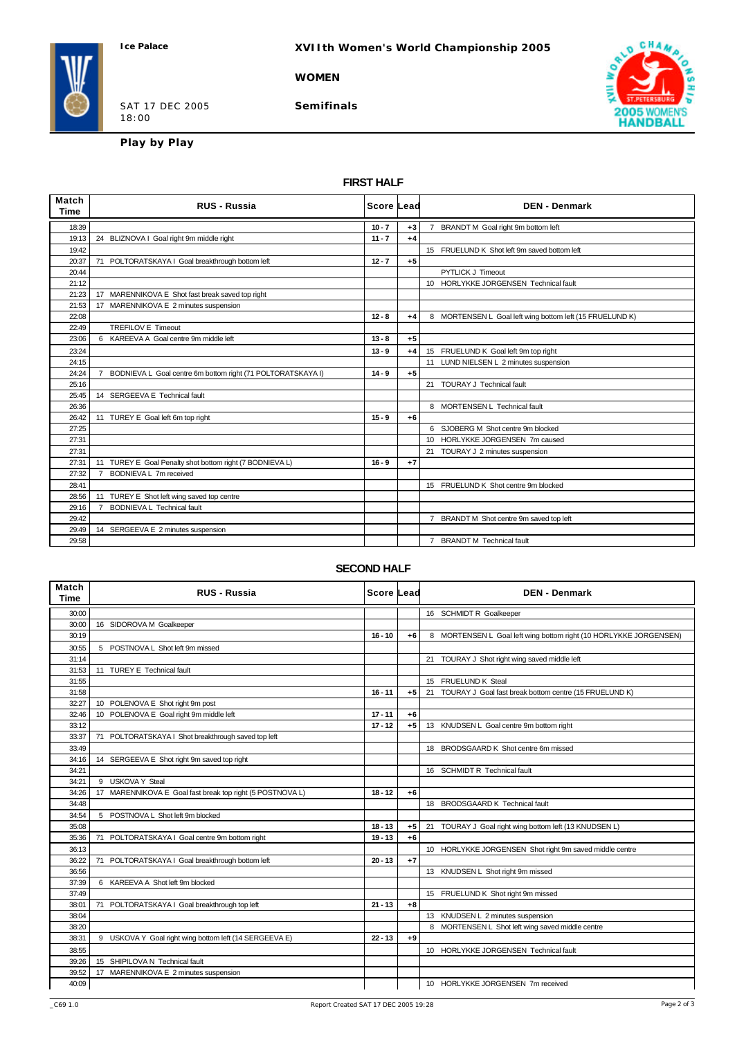## **XVIIth Women's World Championship 2005**

**WOMEN**

SAT 17 DEC 2005 18:00

**Semifinals**



**Play by Play**

## **FIRST HALF**

| Match<br>Time | <b>RUS - Russia</b>                                                           | <b>Score Lead</b> |      | <b>DEN - Denmark</b>                                     |
|---------------|-------------------------------------------------------------------------------|-------------------|------|----------------------------------------------------------|
| 18:39         |                                                                               | $10 - 7$          | $+3$ | BRANDT M Goal right 9m bottom left                       |
| 19:13         | 24 BLIZNOVA I Goal right 9m middle right                                      | $11 - 7$          | $+4$ |                                                          |
| 19:42         |                                                                               |                   |      | 15 FRUELUND K Shot left 9m saved bottom left             |
| 20:37         | 71 POLTORATSKAYA I Goal breakthrough bottom left                              | $12 - 7$          | $+5$ |                                                          |
| 20:44         |                                                                               |                   |      | <b>PYTLICK J Timeout</b>                                 |
| 21:12         |                                                                               |                   |      | 10 HORLYKKE JORGENSEN Technical fault                    |
| 21:23         | 17 MARENNIKOVA E Shot fast break saved top right                              |                   |      |                                                          |
| 21:53         | 17 MARENNIKOVA E 2 minutes suspension                                         |                   |      |                                                          |
| 22:08         |                                                                               | $12 - 8$          | $+4$ | 8 MORTENSEN L Goal left wing bottom left (15 FRUELUND K) |
| 22:49         | <b>TREFILOV E Timeout</b>                                                     |                   |      |                                                          |
| 23:06         | 6 KAREEVA A Goal centre 9m middle left                                        | $13 - 8$          | $+5$ |                                                          |
| 23:24         |                                                                               | $13 - 9$          | $+4$ | 15 FRUELUND K Goal left 9m top right                     |
| 24:15         |                                                                               |                   |      | LUND NIELSEN L 2 minutes suspension<br>11                |
| 24:24         | BODNIEVA L Goal centre 6m bottom right (71 POLTORATSKAYA I)<br>$\overline{7}$ | $14 - 9$          | $+5$ |                                                          |
| 25:16         |                                                                               |                   |      | 21 TOURAY J Technical fault                              |
| 25:45         | 14 SERGEEVA E Technical fault                                                 |                   |      |                                                          |
| 26:36         |                                                                               |                   |      | 8 MORTENSEN L Technical fault                            |
| 26:42         | 11 TUREY E Goal left 6m top right                                             | $15 - 9$          | $+6$ |                                                          |
| 27:25         |                                                                               |                   |      | 6 SJOBERG M Shot centre 9m blocked                       |
| 27:31         |                                                                               |                   |      | 10 HORLYKKE JORGENSEN 7m caused                          |
| 27:31         |                                                                               |                   |      | 21 TOURAY J 2 minutes suspension                         |
| 27:31         | 11 TUREY E Goal Penalty shot bottom right (7 BODNIEVA L)                      | $16 - 9$          | $+7$ |                                                          |
| 27:32         | 7 BODNIEVA L 7m received                                                      |                   |      |                                                          |
| 28:41         |                                                                               |                   |      | 15 FRUELUND K Shot centre 9m blocked                     |
| 28:56         | 11 TUREY E Shot left wing saved top centre                                    |                   |      |                                                          |
| 29:16         | <b>BODNIEVA L Technical fault</b>                                             |                   |      |                                                          |
| 29:42         |                                                                               |                   |      | BRANDT M Shot centre 9m saved top left<br>$7^{\circ}$    |
| 29:49         | 14 SERGEEVA E 2 minutes suspension                                            |                   |      |                                                          |
| 29:58         |                                                                               |                   |      | 7 BRANDT M Technical fault                               |

### **SECOND HALF**

| Match<br>Time | <b>RUS - Russia</b>                                       | <b>Score Lead</b> |      | <b>DEN - Denmark</b>                                              |
|---------------|-----------------------------------------------------------|-------------------|------|-------------------------------------------------------------------|
| 30:00         |                                                           |                   |      | 16 SCHMIDT R Goalkeeper                                           |
| 30:00         | 16 SIDOROVA M Goalkeeper                                  |                   |      |                                                                   |
| 30:19         |                                                           | $16 - 10$         | $+6$ | 8 MORTENSEN L Goal left wing bottom right (10 HORLYKKE JORGENSEN) |
| 30:55         | 5 POSTNOVA L Shot left 9m missed                          |                   |      |                                                                   |
| 31:14         |                                                           |                   |      | 21 TOURAY J Shot right wing saved middle left                     |
| 31:53         | 11 TUREY E Technical fault                                |                   |      |                                                                   |
| 31:55         |                                                           |                   |      | 15 FRUELUND K Steal                                               |
| 31:58         |                                                           | $16 - 11$         | $+5$ | TOURAY J Goal fast break bottom centre (15 FRUELUND K)<br>21      |
| 32:27         | 10 POLENOVA E Shot right 9m post                          |                   |      |                                                                   |
| 32:46         | 10 POLENOVA E Goal right 9m middle left                   | $17 - 11$         | $+6$ |                                                                   |
| 33:12         |                                                           | $17 - 12$         | $+5$ | 13 KNUDSEN L Goal centre 9m bottom right                          |
| 33:37         | 71 POLTORATSKAYA I Shot breakthrough saved top left       |                   |      |                                                                   |
| 33:49         |                                                           |                   |      | 18 BRODSGAARD K Shot centre 6m missed                             |
| 34:16         | 14 SERGEEVA E Shot right 9m saved top right               |                   |      |                                                                   |
| 34:21         |                                                           |                   |      | 16 SCHMIDT R Technical fault                                      |
| 34:21         | 9 USKOVA Y Steal                                          |                   |      |                                                                   |
| 34:26         | 17 MARENNIKOVA E Goal fast break top right (5 POSTNOVA L) | $18 - 12$         | $+6$ |                                                                   |
| 34:48         |                                                           |                   |      | 18 BRODSGAARD K Technical fault                                   |
| 34:54         | 5 POSTNOVA L Shot left 9m blocked                         |                   |      |                                                                   |
| 35:08         |                                                           | $18 - 13$         | $+5$ | 21 TOURAY J Goal right wing bottom left (13 KNUDSEN L)            |
| 35:36         | POLTORATSKAYA I Goal centre 9m bottom right<br>71         | $19 - 13$         | $+6$ |                                                                   |
| 36:13         |                                                           |                   |      | 10 HORLYKKE JORGENSEN Shot right 9m saved middle centre           |
| 36:22         | 71 POLTORATSKAYA I Goal breakthrough bottom left          | $20 - 13$         | $+7$ |                                                                   |
| 36:56         |                                                           |                   |      | 13 KNUDSEN L Shot right 9m missed                                 |
| 37:39         | 6 KAREEVA A Shot left 9m blocked                          |                   |      |                                                                   |
| 37:49         |                                                           |                   |      | 15 FRUELUND K Shot right 9m missed                                |
| 38:01         | 71 POLTORATSKAYA I Goal breakthrough top left             | $21 - 13$         | $+8$ |                                                                   |
| 38:04         |                                                           |                   |      | 13 KNUDSEN L 2 minutes suspension                                 |
| 38:20         |                                                           |                   |      | 8 MORTENSEN L Shot left wing saved middle centre                  |
| 38:31         | 9 USKOVA Y Goal right wing bottom left (14 SERGEEVA E)    | $22 - 13$         | $+9$ |                                                                   |
| 38:55         |                                                           |                   |      | 10 HORLYKKE JORGENSEN Technical fault                             |
| 39:26         | 15 SHIPILOVA N Technical fault                            |                   |      |                                                                   |
| 39:52         | 17 MARENNIKOVA E 2 minutes suspension                     |                   |      |                                                                   |
| 40:09         |                                                           |                   |      | 10 HORLYKKE JORGENSEN 7m received                                 |